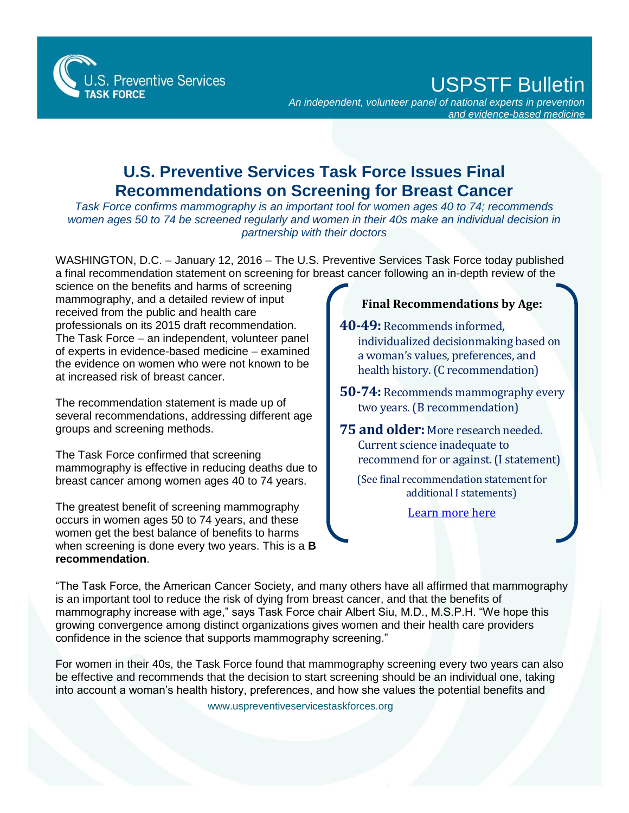

## USPSTF Bulletin

*An independent, volunteer panel of national experts in prevention and evidence-based medicine*

## **U.S. Preventive Services Task Force Issues Final Recommendations on Screening for Breast Cancer**

*Task Force confirms mammography is an important tool for women ages 40 to 74; recommends women ages 50 to 74 be screened regularly and women in their 40s make an individual decision in partnership with their doctors* 

WASHINGTON, D.C. – January 12, 2016 – The U.S. Preventive Services Task Force today published a final recommendation statement on screening for breast cancer following an in-depth review of the

science on the benefits and harms of screening mammography, and a detailed review of input received from the public and health care professionals on its 2015 draft recommendation. The Task Force – an independent, volunteer panel of experts in evidence-based medicine – examined the evidence on women who were not known to be at increased risk of breast cancer.

The recommendation statement is made up of several recommendations, addressing different age groups and screening methods.

The Task Force confirmed that screening mammography is effective in reducing deaths due to breast cancer among women ages 40 to 74 years.

The greatest benefit of screening mammography occurs in women ages 50 to 74 years, and these women get the best balance of benefits to harms when screening is done every two years. This is a **B recommendation**.

## **Final Recommendations by Age:**

**40-49:** Recommends informed, individualized decisionmaking based on a woman's values, preferences, and health history. (C recommendation)

**50-74:** Recommends mammography every two years. (B recommendation)

**75 and older:** More research needed. Current science inadequate to recommend for or against. (I statement)

(See final recommendation statement for additional I statements)

[Learn more here](http://www.uspreventiveservicestaskforce.org/Page/Name/grade-definitions)

"The Task Force, the American Cancer Society, and many others have all affirmed that mammography is an important tool to reduce the risk of dying from breast cancer, and that the benefits of mammography increase with age," says Task Force chair Albert Siu, M.D., M.S.P.H. "We hope this growing convergence among distinct organizations gives women and their health care providers confidence in the science that supports mammography screening."

For women in their 40s, the Task Force found that mammography screening every two years can also be effective and recommends that the decision to start screening should be an individual one, taking into account a woman's health history, preferences, and how she values the potential benefits and

www.uspreventiveservicestaskforces.org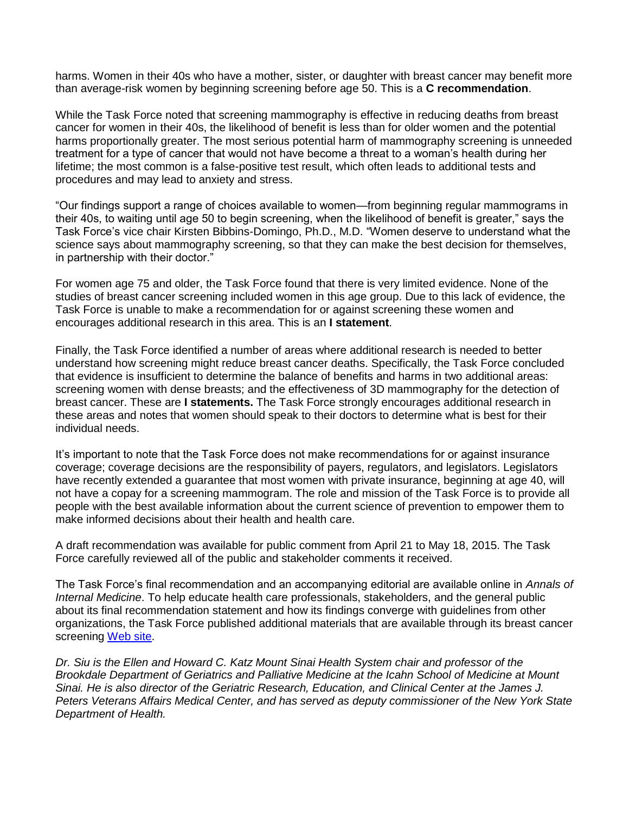harms. Women in their 40s who have a mother, sister, or daughter with breast cancer may benefit more than average-risk women by beginning screening before age 50. This is a **C recommendation**.

While the Task Force noted that screening mammography is effective in reducing deaths from breast cancer for women in their 40s, the likelihood of benefit is less than for older women and the potential harms proportionally greater. The most serious potential harm of mammography screening is unneeded treatment for a type of cancer that would not have become a threat to a woman's health during her lifetime; the most common is a false-positive test result, which often leads to additional tests and procedures and may lead to anxiety and stress.

"Our findings support a range of choices available to women—from beginning regular mammograms in their 40s, to waiting until age 50 to begin screening, when the likelihood of benefit is greater," says the Task Force's vice chair Kirsten Bibbins-Domingo, Ph.D., M.D. "Women deserve to understand what the science says about mammography screening, so that they can make the best decision for themselves, in partnership with their doctor."

For women age 75 and older, the Task Force found that there is very limited evidence. None of the studies of breast cancer screening included women in this age group. Due to this lack of evidence, the Task Force is unable to make a recommendation for or against screening these women and encourages additional research in this area. This is an **I statement**.

Finally, the Task Force identified a number of areas where additional research is needed to better understand how screening might reduce breast cancer deaths. Specifically, the Task Force concluded that evidence is insufficient to determine the balance of benefits and harms in two additional areas: screening women with dense breasts; and the effectiveness of 3D mammography for the detection of breast cancer. These are **I statements.** The Task Force strongly encourages additional research in these areas and notes that women should speak to their doctors to determine what is best for their individual needs.

It's important to note that the Task Force does not make recommendations for or against insurance coverage; coverage decisions are the responsibility of payers, regulators, and legislators. Legislators have recently extended a guarantee that most women with private insurance, beginning at age 40, will not have a copay for a screening mammogram. The role and mission of the Task Force is to provide all people with the best available information about the current science of prevention to empower them to make informed decisions about their health and health care.

A draft recommendation was available for public comment from April 21 to May 18, 2015. The Task Force carefully reviewed all of the public and stakeholder comments it received.

The Task Force's final recommendation and an accompanying editorial are available online in *Annals of Internal Medicine*. To help educate health care professionals, stakeholders, and the general public about its final recommendation statement and how its findings converge with guidelines from other organizations, the Task Force published additional materials that are available through its breast cancer screening [Web site.](http://screeningforbreastcancer.org/)

*Dr. Siu is the Ellen and Howard C. Katz Mount Sinai Health System chair and professor of the Brookdale Department of Geriatrics and Palliative Medicine at the Icahn School of Medicine at Mount Sinai. He is also director of the Geriatric Research, Education, and Clinical Center at the James J. Peters Veterans Affairs Medical Center, and has served as deputy commissioner of the New York State Department of Health.*